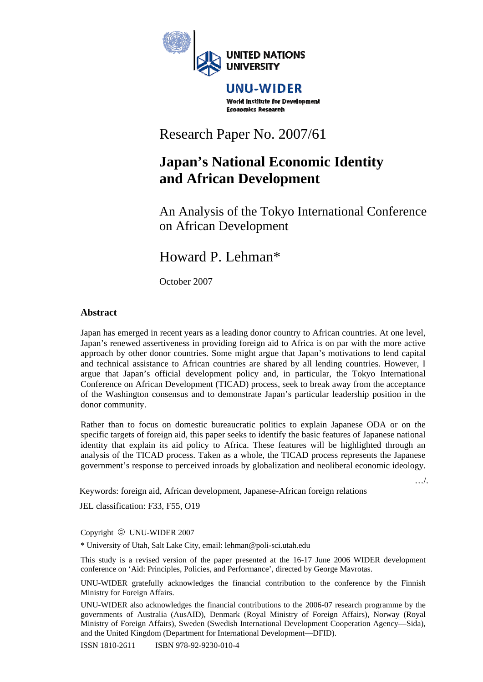

#### UNU-WIDER **World Institute for Development Economics Research**

# Research Paper No. 2007/61

# **Japan's National Economic Identity and African Development**

An Analysis of the Tokyo International Conference on African Development

# Howard P. Lehman\*

October 2007

## **Abstract**

Japan has emerged in recent years as a leading donor country to African countries. At one level, Japan's renewed assertiveness in providing foreign aid to Africa is on par with the more active approach by other donor countries. Some might argue that Japan's motivations to lend capital and technical assistance to African countries are shared by all lending countries. However, I argue that Japan's official development policy and, in particular, the Tokyo International Conference on African Development (TICAD) process, seek to break away from the acceptance of the Washington consensus and to demonstrate Japan's particular leadership position in the donor community.

Rather than to focus on domestic bureaucratic politics to explain Japanese ODA or on the specific targets of foreign aid, this paper seeks to identify the basic features of Japanese national identity that explain its aid policy to Africa. These features will be highlighted through an analysis of the TICAD process. Taken as a whole, the TICAD process represents the Japanese government's response to perceived inroads by globalization and neoliberal economic ideology.

Keywords: foreign aid, African development, Japanese-African foreign relations

…/.

JEL classification: F33, F55, O19

Copyright © UNU-WIDER 2007

\* University of Utah, Salt Lake City, email: lehman@poli-sci.utah.edu

This study is a revised version of the paper presented at the 16-17 June 2006 WIDER development conference on 'Aid: Principles, Policies, and Performance', directed by George Mavrotas.

UNU-WIDER gratefully acknowledges the financial contribution to the conference by the Finnish Ministry for Foreign Affairs.

UNU-WIDER also acknowledges the financial contributions to the 2006-07 research programme by the governments of Australia (AusAID), Denmark (Royal Ministry of Foreign Affairs), Norway (Royal Ministry of Foreign Affairs), Sweden (Swedish International Development Cooperation Agency—Sida), and the United Kingdom (Department for International Development—DFID).

ISSN 1810-2611 ISBN 978-92-9230-010-4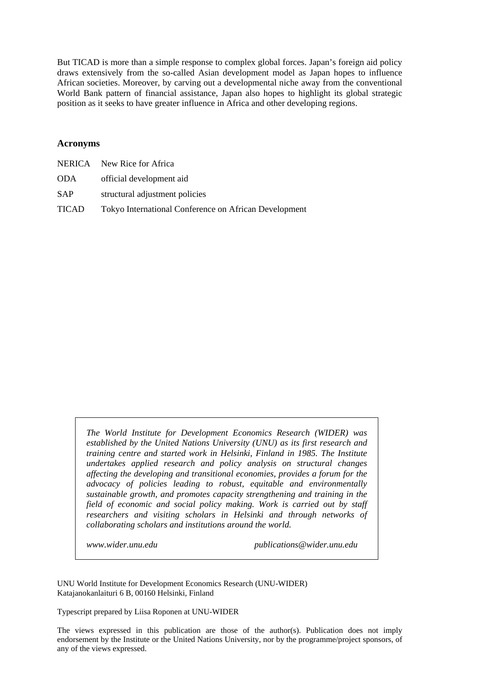But TICAD is more than a simple response to complex global forces. Japan's foreign aid policy draws extensively from the so-called Asian development model as Japan hopes to influence African societies. Moreover, by carving out a developmental niche away from the conventional World Bank pattern of financial assistance, Japan also hopes to highlight its global strategic position as it seeks to have greater influence in Africa and other developing regions.

#### **Acronyms**

|       | NERICA New Rice for Africa                            |
|-------|-------------------------------------------------------|
| ODA   | official development aid                              |
| SAP   | structural adjustment policies                        |
| TICAD | Tokyo International Conference on African Development |

*The World Institute for Development Economics Research (WIDER) was established by the United Nations University (UNU) as its first research and training centre and started work in Helsinki, Finland in 1985. The Institute undertakes applied research and policy analysis on structural changes affecting the developing and transitional economies, provides a forum for the advocacy of policies leading to robust, equitable and environmentally sustainable growth, and promotes capacity strengthening and training in the field of economic and social policy making. Work is carried out by staff researchers and visiting scholars in Helsinki and through networks of collaborating scholars and institutions around the world.* 

*www.wider.unu.edu publications@wider.unu.edu* 

UNU World Institute for Development Economics Research (UNU-WIDER) Katajanokanlaituri 6 B, 00160 Helsinki, Finland

Typescript prepared by Liisa Roponen at UNU-WIDER

The views expressed in this publication are those of the author(s). Publication does not imply endorsement by the Institute or the United Nations University, nor by the programme/project sponsors, of any of the views expressed.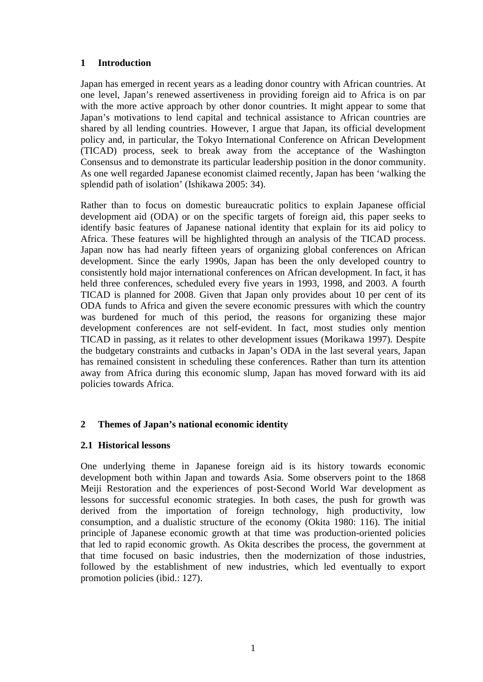## **1 Introduction**

Japan has emerged in recent years as a leading donor country with African countries. At one level, Japan's renewed assertiveness in providing foreign aid to Africa is on par with the more active approach by other donor countries. It might appear to some that Japan's motivations to lend capital and technical assistance to African countries are shared by all lending countries. However, I argue that Japan, its official development policy and, in particular, the Tokyo International Conference on African Development (TICAD) process, seek to break away from the acceptance of the Washington Consensus and to demonstrate its particular leadership position in the donor community. As one well regarded Japanese economist claimed recently, Japan has been 'walking the splendid path of isolation' (Ishikawa 2005: 34).

Rather than to focus on domestic bureaucratic politics to explain Japanese official development aid (ODA) or on the specific targets of foreign aid, this paper seeks to identify basic features of Japanese national identity that explain for its aid policy to Africa. These features will be highlighted through an analysis of the TICAD process. Japan now has had nearly fifteen years of organizing global conferences on African development. Since the early 1990s, Japan has been the only developed country to consistently hold major international conferences on African development. In fact, it has held three conferences, scheduled every five years in 1993, 1998, and 2003. A fourth TICAD is planned for 2008. Given that Japan only provides about 10 per cent of its ODA funds to Africa and given the severe economic pressures with which the country was burdened for much of this period, the reasons for organizing these major development conferences are not self-evident. In fact, most studies only mention TICAD in passing, as it relates to other development issues (Morikawa 1997). Despite the budgetary constraints and cutbacks in Japan's ODA in the last several years, Japan has remained consistent in scheduling these conferences. Rather than turn its attention away from Africa during this economic slump, Japan has moved forward with its aid policies towards Africa.

## **2 Themes of Japan's national economic identity**

### **2.1 Historical lessons**

One underlying theme in Japanese foreign aid is its history towards economic development both within Japan and towards Asia. Some observers point to the 1868 Meiji Restoration and the experiences of post-Second World War development as lessons for successful economic strategies. In both cases, the push for growth was derived from the importation of foreign technology, high productivity, low consumption, and a dualistic structure of the economy (Okita 1980: 116). The initial principle of Japanese economic growth at that time was production-oriented policies that led to rapid economic growth. As Okita describes the process, the government at that time focused on basic industries, then the modernization of those industries, followed by the establishment of new industries, which led eventually to export promotion policies (ibid.: 127).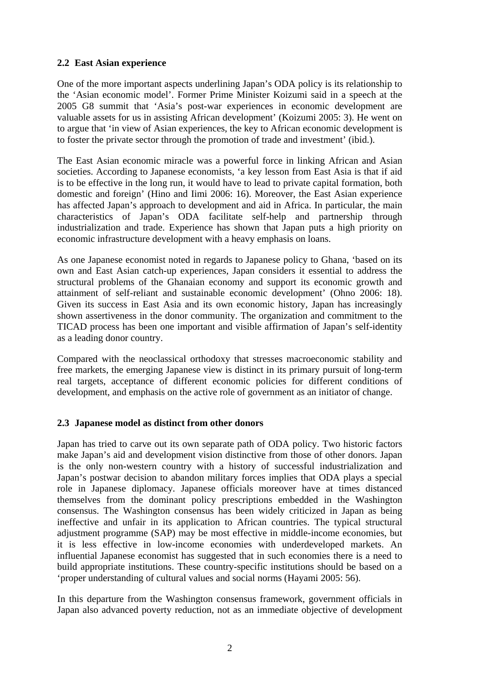## **2.2 East Asian experience**

One of the more important aspects underlining Japan's ODA policy is its relationship to the 'Asian economic model'. Former Prime Minister Koizumi said in a speech at the 2005 G8 summit that 'Asia's post-war experiences in economic development are valuable assets for us in assisting African development' (Koizumi 2005: 3). He went on to argue that 'in view of Asian experiences, the key to African economic development is to foster the private sector through the promotion of trade and investment' (ibid.).

The East Asian economic miracle was a powerful force in linking African and Asian societies. According to Japanese economists, 'a key lesson from East Asia is that if aid is to be effective in the long run, it would have to lead to private capital formation, both domestic and foreign' (Hino and Iimi 2006: 16). Moreover, the East Asian experience has affected Japan's approach to development and aid in Africa. In particular, the main characteristics of Japan's ODA facilitate self-help and partnership through industrialization and trade. Experience has shown that Japan puts a high priority on economic infrastructure development with a heavy emphasis on loans.

As one Japanese economist noted in regards to Japanese policy to Ghana, 'based on its own and East Asian catch-up experiences, Japan considers it essential to address the structural problems of the Ghanaian economy and support its economic growth and attainment of self-reliant and sustainable economic development' (Ohno 2006: 18). Given its success in East Asia and its own economic history, Japan has increasingly shown assertiveness in the donor community. The organization and commitment to the TICAD process has been one important and visible affirmation of Japan's self-identity as a leading donor country.

Compared with the neoclassical orthodoxy that stresses macroeconomic stability and free markets, the emerging Japanese view is distinct in its primary pursuit of long-term real targets, acceptance of different economic policies for different conditions of development, and emphasis on the active role of government as an initiator of change.

### **2.3 Japanese model as distinct from other donors**

Japan has tried to carve out its own separate path of ODA policy. Two historic factors make Japan's aid and development vision distinctive from those of other donors. Japan is the only non-western country with a history of successful industrialization and Japan's postwar decision to abandon military forces implies that ODA plays a special role in Japanese diplomacy. Japanese officials moreover have at times distanced themselves from the dominant policy prescriptions embedded in the Washington consensus. The Washington consensus has been widely criticized in Japan as being ineffective and unfair in its application to African countries. The typical structural adjustment programme (SAP) may be most effective in middle-income economies, but it is less effective in low-income economies with underdeveloped markets. An influential Japanese economist has suggested that in such economies there is a need to build appropriate institutions. These country-specific institutions should be based on a 'proper understanding of cultural values and social norms (Hayami 2005: 56).

In this departure from the Washington consensus framework, government officials in Japan also advanced poverty reduction, not as an immediate objective of development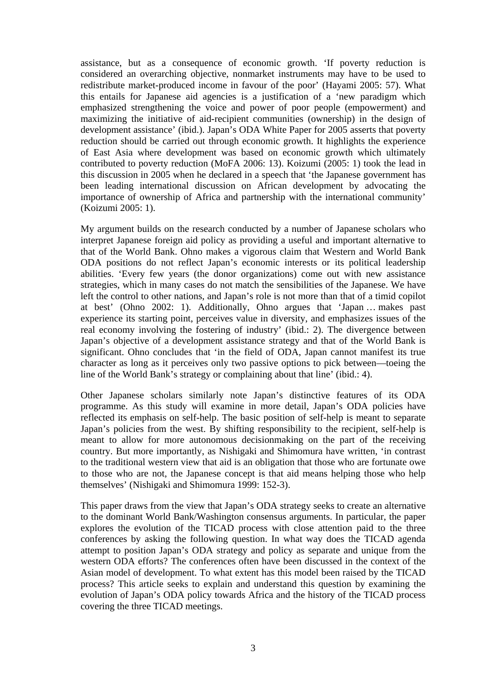assistance, but as a consequence of economic growth. 'If poverty reduction is considered an overarching objective, nonmarket instruments may have to be used to redistribute market-produced income in favour of the poor' (Hayami 2005: 57). What this entails for Japanese aid agencies is a justification of a 'new paradigm which emphasized strengthening the voice and power of poor people (empowerment) and maximizing the initiative of aid-recipient communities (ownership) in the design of development assistance' (ibid.). Japan's ODA White Paper for 2005 asserts that poverty reduction should be carried out through economic growth. It highlights the experience of East Asia where development was based on economic growth which ultimately contributed to poverty reduction (MoFA 2006: 13). Koizumi (2005: 1) took the lead in this discussion in 2005 when he declared in a speech that 'the Japanese government has been leading international discussion on African development by advocating the importance of ownership of Africa and partnership with the international community' (Koizumi 2005: 1).

My argument builds on the research conducted by a number of Japanese scholars who interpret Japanese foreign aid policy as providing a useful and important alternative to that of the World Bank. Ohno makes a vigorous claim that Western and World Bank ODA positions do not reflect Japan's economic interests or its political leadership abilities. 'Every few years (the donor organizations) come out with new assistance strategies, which in many cases do not match the sensibilities of the Japanese. We have left the control to other nations, and Japan's role is not more than that of a timid copilot at best' (Ohno 2002: 1). Additionally, Ohno argues that 'Japan … makes past experience its starting point, perceives value in diversity, and emphasizes issues of the real economy involving the fostering of industry' (ibid.: 2). The divergence between Japan's objective of a development assistance strategy and that of the World Bank is significant. Ohno concludes that 'in the field of ODA, Japan cannot manifest its true character as long as it perceives only two passive options to pick between—toeing the line of the World Bank's strategy or complaining about that line' (ibid.: 4).

Other Japanese scholars similarly note Japan's distinctive features of its ODA programme. As this study will examine in more detail, Japan's ODA policies have reflected its emphasis on self-help. The basic position of self-help is meant to separate Japan's policies from the west. By shifting responsibility to the recipient, self-help is meant to allow for more autonomous decisionmaking on the part of the receiving country. But more importantly, as Nishigaki and Shimomura have written, 'in contrast to the traditional western view that aid is an obligation that those who are fortunate owe to those who are not, the Japanese concept is that aid means helping those who help themselves' (Nishigaki and Shimomura 1999: 152-3).

This paper draws from the view that Japan's ODA strategy seeks to create an alternative to the dominant World Bank/Washington consensus arguments. In particular, the paper explores the evolution of the TICAD process with close attention paid to the three conferences by asking the following question. In what way does the TICAD agenda attempt to position Japan's ODA strategy and policy as separate and unique from the western ODA efforts? The conferences often have been discussed in the context of the Asian model of development. To what extent has this model been raised by the TICAD process? This article seeks to explain and understand this question by examining the evolution of Japan's ODA policy towards Africa and the history of the TICAD process covering the three TICAD meetings.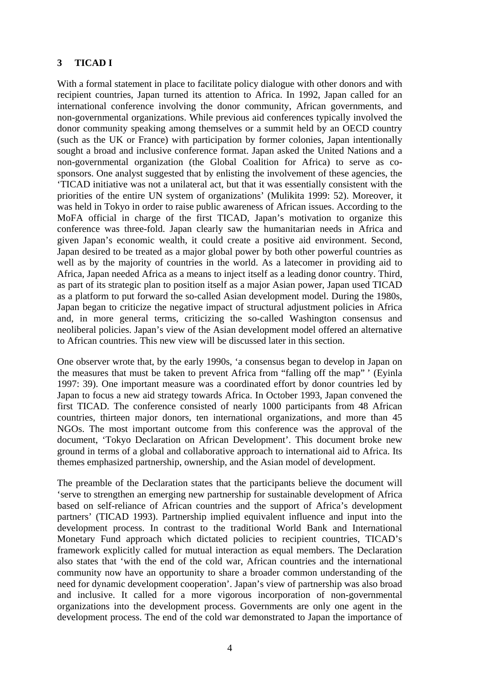## **3 TICAD I**

With a formal statement in place to facilitate policy dialogue with other donors and with recipient countries, Japan turned its attention to Africa. In 1992, Japan called for an international conference involving the donor community, African governments, and non-governmental organizations. While previous aid conferences typically involved the donor community speaking among themselves or a summit held by an OECD country (such as the UK or France) with participation by former colonies, Japan intentionally sought a broad and inclusive conference format. Japan asked the United Nations and a non-governmental organization (the Global Coalition for Africa) to serve as cosponsors. One analyst suggested that by enlisting the involvement of these agencies, the 'TICAD initiative was not a unilateral act, but that it was essentially consistent with the priorities of the entire UN system of organizations' (Mulikita 1999: 52). Moreover, it was held in Tokyo in order to raise public awareness of African issues. According to the MoFA official in charge of the first TICAD, Japan's motivation to organize this conference was three-fold. Japan clearly saw the humanitarian needs in Africa and given Japan's economic wealth, it could create a positive aid environment. Second, Japan desired to be treated as a major global power by both other powerful countries as well as by the majority of countries in the world. As a latecomer in providing aid to Africa, Japan needed Africa as a means to inject itself as a leading donor country. Third, as part of its strategic plan to position itself as a major Asian power, Japan used TICAD as a platform to put forward the so-called Asian development model. During the 1980s, Japan began to criticize the negative impact of structural adjustment policies in Africa and, in more general terms, criticizing the so-called Washington consensus and neoliberal policies. Japan's view of the Asian development model offered an alternative to African countries. This new view will be discussed later in this section.

One observer wrote that, by the early 1990s, 'a consensus began to develop in Japan on the measures that must be taken to prevent Africa from "falling off the map" ' (Eyinla 1997: 39). One important measure was a coordinated effort by donor countries led by Japan to focus a new aid strategy towards Africa. In October 1993, Japan convened the first TICAD. The conference consisted of nearly 1000 participants from 48 African countries, thirteen major donors, ten international organizations, and more than 45 NGOs. The most important outcome from this conference was the approval of the document, 'Tokyo Declaration on African Development'. This document broke new ground in terms of a global and collaborative approach to international aid to Africa. Its themes emphasized partnership, ownership, and the Asian model of development.

The preamble of the Declaration states that the participants believe the document will 'serve to strengthen an emerging new partnership for sustainable development of Africa based on self-reliance of African countries and the support of Africa's development partners' (TICAD 1993). Partnership implied equivalent influence and input into the development process. In contrast to the traditional World Bank and International Monetary Fund approach which dictated policies to recipient countries, TICAD's framework explicitly called for mutual interaction as equal members. The Declaration also states that 'with the end of the cold war, African countries and the international community now have an opportunity to share a broader common understanding of the need for dynamic development cooperation'. Japan's view of partnership was also broad and inclusive. It called for a more vigorous incorporation of non-governmental organizations into the development process. Governments are only one agent in the development process. The end of the cold war demonstrated to Japan the importance of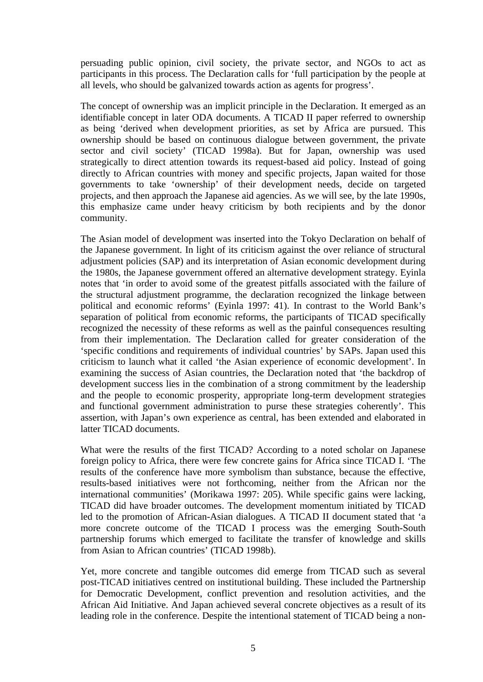persuading public opinion, civil society, the private sector, and NGOs to act as participants in this process. The Declaration calls for 'full participation by the people at all levels, who should be galvanized towards action as agents for progress'.

The concept of ownership was an implicit principle in the Declaration. It emerged as an identifiable concept in later ODA documents. A TICAD II paper referred to ownership as being 'derived when development priorities, as set by Africa are pursued. This ownership should be based on continuous dialogue between government, the private sector and civil society' (TICAD 1998a). But for Japan, ownership was used strategically to direct attention towards its request-based aid policy. Instead of going directly to African countries with money and specific projects, Japan waited for those governments to take 'ownership' of their development needs, decide on targeted projects, and then approach the Japanese aid agencies. As we will see, by the late 1990s, this emphasize came under heavy criticism by both recipients and by the donor community.

The Asian model of development was inserted into the Tokyo Declaration on behalf of the Japanese government. In light of its criticism against the over reliance of structural adjustment policies (SAP) and its interpretation of Asian economic development during the 1980s, the Japanese government offered an alternative development strategy. Eyinla notes that 'in order to avoid some of the greatest pitfalls associated with the failure of the structural adjustment programme, the declaration recognized the linkage between political and economic reforms' (Eyinla 1997: 41). In contrast to the World Bank's separation of political from economic reforms, the participants of TICAD specifically recognized the necessity of these reforms as well as the painful consequences resulting from their implementation. The Declaration called for greater consideration of the 'specific conditions and requirements of individual countries' by SAPs. Japan used this criticism to launch what it called 'the Asian experience of economic development'. In examining the success of Asian countries, the Declaration noted that 'the backdrop of development success lies in the combination of a strong commitment by the leadership and the people to economic prosperity, appropriate long-term development strategies and functional government administration to purse these strategies coherently'. This assertion, with Japan's own experience as central, has been extended and elaborated in latter TICAD documents.

What were the results of the first TICAD? According to a noted scholar on Japanese foreign policy to Africa, there were few concrete gains for Africa since TICAD I. 'The results of the conference have more symbolism than substance, because the effective, results-based initiatives were not forthcoming, neither from the African nor the international communities' (Morikawa 1997: 205). While specific gains were lacking, TICAD did have broader outcomes. The development momentum initiated by TICAD led to the promotion of African-Asian dialogues. A TICAD II document stated that 'a more concrete outcome of the TICAD I process was the emerging South-South partnership forums which emerged to facilitate the transfer of knowledge and skills from Asian to African countries' (TICAD 1998b).

Yet, more concrete and tangible outcomes did emerge from TICAD such as several post-TICAD initiatives centred on institutional building. These included the Partnership for Democratic Development, conflict prevention and resolution activities, and the African Aid Initiative. And Japan achieved several concrete objectives as a result of its leading role in the conference. Despite the intentional statement of TICAD being a non-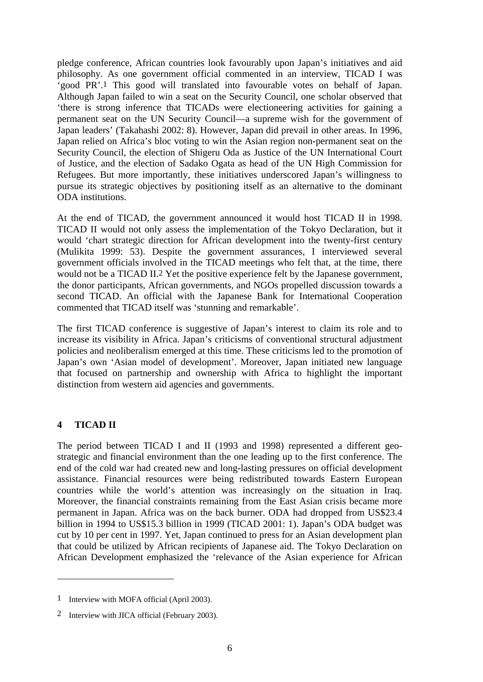pledge conference, African countries look favourably upon Japan's initiatives and aid philosophy. As one government official commented in an interview, TICAD I was 'good PR'.1 This good will translated into favourable votes on behalf of Japan. Although Japan failed to win a seat on the Security Council, one scholar observed that 'there is strong inference that TICADs were electioneering activities for gaining a permanent seat on the UN Security Council—a supreme wish for the government of Japan leaders' (Takahashi 2002: 8). However, Japan did prevail in other areas. In 1996, Japan relied on Africa's bloc voting to win the Asian region non-permanent seat on the Security Council, the election of Shigeru Oda as Justice of the UN International Court of Justice, and the election of Sadako Ogata as head of the UN High Commission for Refugees. But more importantly, these initiatives underscored Japan's willingness to pursue its strategic objectives by positioning itself as an alternative to the dominant ODA institutions.

At the end of TICAD, the government announced it would host TICAD II in 1998. TICAD II would not only assess the implementation of the Tokyo Declaration, but it would 'chart strategic direction for African development into the twenty-first century (Mulikita 1999: 53). Despite the government assurances, I interviewed several government officials involved in the TICAD meetings who felt that, at the time, there would not be a TICAD II.<sup>2</sup> Yet the positive experience felt by the Japanese government, the donor participants, African governments, and NGOs propelled discussion towards a second TICAD. An official with the Japanese Bank for International Cooperation commented that TICAD itself was 'stunning and remarkable'.

The first TICAD conference is suggestive of Japan's interest to claim its role and to increase its visibility in Africa. Japan's criticisms of conventional structural adjustment policies and neoliberalism emerged at this time. These criticisms led to the promotion of Japan's own 'Asian model of development'. Moreover, Japan initiated new language that focused on partnership and ownership with Africa to highlight the important distinction from western aid agencies and governments.

### **4 TICAD II**

 $\overline{a}$ 

The period between TICAD I and II (1993 and 1998) represented a different geostrategic and financial environment than the one leading up to the first conference. The end of the cold war had created new and long-lasting pressures on official development assistance. Financial resources were being redistributed towards Eastern European countries while the world's attention was increasingly on the situation in Iraq. Moreover, the financial constraints remaining from the East Asian crisis became more permanent in Japan. Africa was on the back burner. ODA had dropped from US\$23.4 billion in 1994 to US\$15.3 billion in 1999 (TICAD 2001: 1). Japan's ODA budget was cut by 10 per cent in 1997. Yet, Japan continued to press for an Asian development plan that could be utilized by African recipients of Japanese aid. The Tokyo Declaration on African Development emphasized the 'relevance of the Asian experience for African

<sup>1</sup> Interview with MOFA official (April 2003).

<sup>2</sup> Interview with JICA official (February 2003).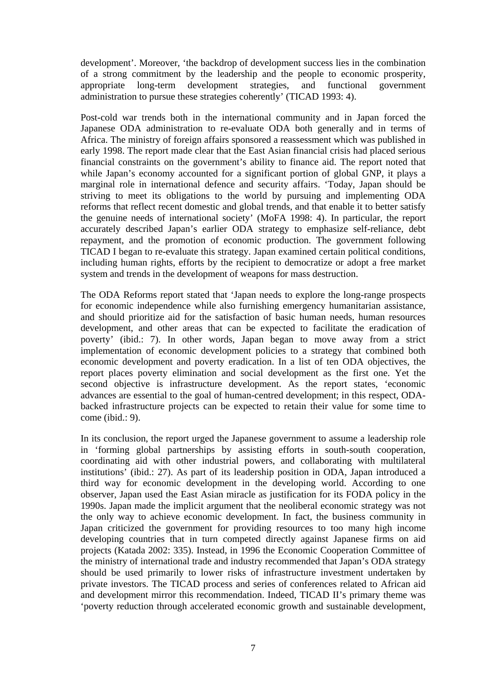development'. Moreover, 'the backdrop of development success lies in the combination of a strong commitment by the leadership and the people to economic prosperity, appropriate long-term development strategies, and functional government administration to pursue these strategies coherently' (TICAD 1993: 4).

Post-cold war trends both in the international community and in Japan forced the Japanese ODA administration to re-evaluate ODA both generally and in terms of Africa. The ministry of foreign affairs sponsored a reassessment which was published in early 1998. The report made clear that the East Asian financial crisis had placed serious financial constraints on the government's ability to finance aid. The report noted that while Japan's economy accounted for a significant portion of global GNP, it plays a marginal role in international defence and security affairs. 'Today, Japan should be striving to meet its obligations to the world by pursuing and implementing ODA reforms that reflect recent domestic and global trends, and that enable it to better satisfy the genuine needs of international society' (MoFA 1998: 4). In particular, the report accurately described Japan's earlier ODA strategy to emphasize self-reliance, debt repayment, and the promotion of economic production. The government following TICAD I began to re-evaluate this strategy. Japan examined certain political conditions, including human rights, efforts by the recipient to democratize or adopt a free market system and trends in the development of weapons for mass destruction.

The ODA Reforms report stated that 'Japan needs to explore the long-range prospects for economic independence while also furnishing emergency humanitarian assistance, and should prioritize aid for the satisfaction of basic human needs, human resources development, and other areas that can be expected to facilitate the eradication of poverty' (ibid.: 7). In other words, Japan began to move away from a strict implementation of economic development policies to a strategy that combined both economic development and poverty eradication. In a list of ten ODA objectives, the report places poverty elimination and social development as the first one. Yet the second objective is infrastructure development. As the report states, 'economic advances are essential to the goal of human-centred development; in this respect, ODAbacked infrastructure projects can be expected to retain their value for some time to come (ibid.: 9).

In its conclusion, the report urged the Japanese government to assume a leadership role in 'forming global partnerships by assisting efforts in south-south cooperation, coordinating aid with other industrial powers, and collaborating with multilateral institutions' (ibid.: 27). As part of its leadership position in ODA, Japan introduced a third way for economic development in the developing world. According to one observer, Japan used the East Asian miracle as justification for its FODA policy in the 1990s. Japan made the implicit argument that the neoliberal economic strategy was not the only way to achieve economic development. In fact, the business community in Japan criticized the government for providing resources to too many high income developing countries that in turn competed directly against Japanese firms on aid projects (Katada 2002: 335). Instead, in 1996 the Economic Cooperation Committee of the ministry of international trade and industry recommended that Japan's ODA strategy should be used primarily to lower risks of infrastructure investment undertaken by private investors. The TICAD process and series of conferences related to African aid and development mirror this recommendation. Indeed, TICAD II's primary theme was 'poverty reduction through accelerated economic growth and sustainable development,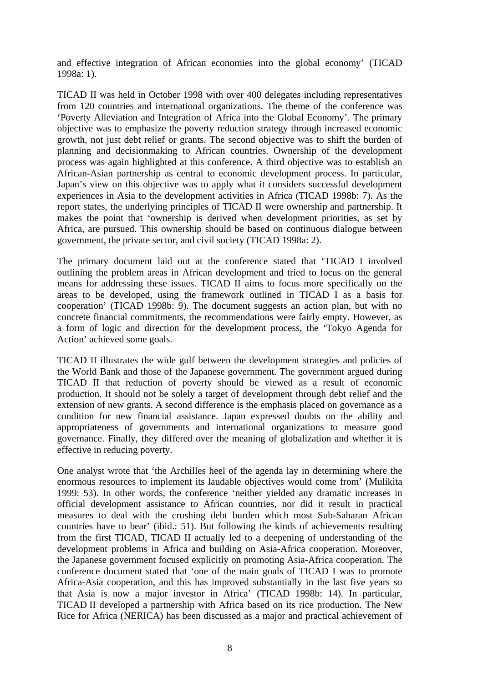and effective integration of African economies into the global economy' (TICAD 1998a: 1).

TICAD II was held in October 1998 with over 400 delegates including representatives from 120 countries and international organizations. The theme of the conference was 'Poverty Alleviation and Integration of Africa into the Global Economy'. The primary objective was to emphasize the poverty reduction strategy through increased economic growth, not just debt relief or grants. The second objective was to shift the burden of planning and decisionmaking to African countries. Ownership of the development process was again highlighted at this conference. A third objective was to establish an African-Asian partnership as central to economic development process. In particular, Japan's view on this objective was to apply what it considers successful development experiences in Asia to the development activities in Africa (TICAD 1998b: 7). As the report states, the underlying principles of TICAD II were ownership and partnership. It makes the point that 'ownership is derived when development priorities, as set by Africa, are pursued. This ownership should be based on continuous dialogue between government, the private sector, and civil society (TICAD 1998a: 2).

The primary document laid out at the conference stated that 'TICAD I involved outlining the problem areas in African development and tried to focus on the general means for addressing these issues. TICAD II aims to focus more specifically on the areas to be developed, using the framework outlined in TICAD I as a basis for cooperation' (TICAD 1998b: 9). The document suggests an action plan, but with no concrete financial commitments, the recommendations were fairly empty. However, as a form of logic and direction for the development process, the 'Tokyo Agenda for Action' achieved some goals.

TICAD II illustrates the wide gulf between the development strategies and policies of the World Bank and those of the Japanese government. The government argued during TICAD II that reduction of poverty should be viewed as a result of economic production. It should not be solely a target of development through debt relief and the extension of new grants. A second difference is the emphasis placed on governance as a condition for new financial assistance. Japan expressed doubts on the ability and appropriateness of governments and international organizations to measure good governance. Finally, they differed over the meaning of globalization and whether it is effective in reducing poverty.

One analyst wrote that 'the Archilles heel of the agenda lay in determining where the enormous resources to implement its laudable objectives would come from' (Mulikita 1999: 53). In other words, the conference 'neither yielded any dramatic increases in official development assistance to African countries, nor did it result in practical measures to deal with the crushing debt burden which most Sub-Saharan African countries have to bear' (ibid.: 51). But following the kinds of achievements resulting from the first TICAD, TICAD II actually led to a deepening of understanding of the development problems in Africa and building on Asia-Africa cooperation. Moreover, the Japanese government focused explicitly on promoting Asia-Africa cooperation. The conference document stated that 'one of the main goals of TICAD I was to promote Africa-Asia cooperation, and this has improved substantially in the last five years so that Asia is now a major investor in Africa' (TICAD 1998b: 14). In particular, TICAD II developed a partnership with Africa based on its rice production. The New Rice for Africa (NERICA) has been discussed as a major and practical achievement of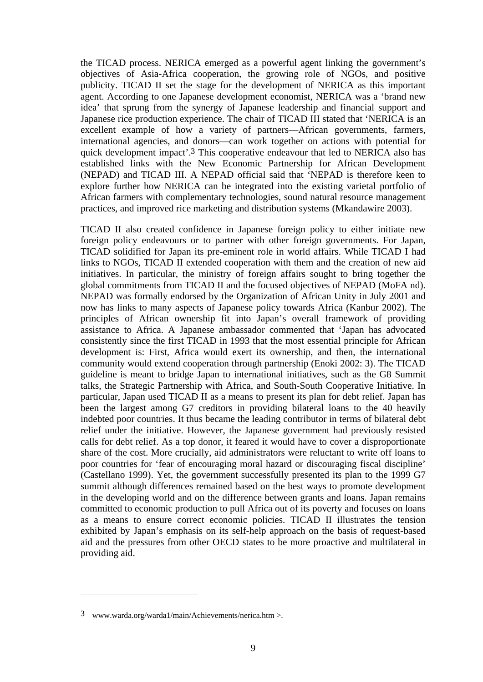the TICAD process. NERICA emerged as a powerful agent linking the government's objectives of Asia-Africa cooperation, the growing role of NGOs, and positive publicity. TICAD II set the stage for the development of NERICA as this important agent. According to one Japanese development economist, NERICA was a 'brand new idea' that sprung from the synergy of Japanese leadership and financial support and Japanese rice production experience. The chair of TICAD III stated that 'NERICA is an excellent example of how a variety of partners—African governments, farmers, international agencies, and donors—can work together on actions with potential for quick development impact'.3 This cooperative endeavour that led to NERICA also has established links with the New Economic Partnership for African Development (NEPAD) and TICAD III. A NEPAD official said that 'NEPAD is therefore keen to explore further how NERICA can be integrated into the existing varietal portfolio of African farmers with complementary technologies, sound natural resource management practices, and improved rice marketing and distribution systems (Mkandawire 2003).

TICAD II also created confidence in Japanese foreign policy to either initiate new foreign policy endeavours or to partner with other foreign governments. For Japan, TICAD solidified for Japan its pre-eminent role in world affairs. While TICAD I had links to NGOs, TICAD II extended cooperation with them and the creation of new aid initiatives. In particular, the ministry of foreign affairs sought to bring together the global commitments from TICAD II and the focused objectives of NEPAD (MoFA nd). NEPAD was formally endorsed by the Organization of African Unity in July 2001 and now has links to many aspects of Japanese policy towards Africa (Kanbur 2002). The principles of African ownership fit into Japan's overall framework of providing assistance to Africa. A Japanese ambassador commented that 'Japan has advocated consistently since the first TICAD in 1993 that the most essential principle for African development is: First, Africa would exert its ownership, and then, the international community would extend cooperation through partnership (Enoki 2002: 3). The TICAD guideline is meant to bridge Japan to international initiatives, such as the G8 Summit talks, the Strategic Partnership with Africa, and South-South Cooperative Initiative. In particular, Japan used TICAD II as a means to present its plan for debt relief. Japan has been the largest among G7 creditors in providing bilateral loans to the 40 heavily indebted poor countries. It thus became the leading contributor in terms of bilateral debt relief under the initiative. However, the Japanese government had previously resisted calls for debt relief. As a top donor, it feared it would have to cover a disproportionate share of the cost. More crucially, aid administrators were reluctant to write off loans to poor countries for 'fear of encouraging moral hazard or discouraging fiscal discipline' (Castellano 1999). Yet, the government successfully presented its plan to the 1999 G7 summit although differences remained based on the best ways to promote development in the developing world and on the difference between grants and loans. Japan remains committed to economic production to pull Africa out of its poverty and focuses on loans as a means to ensure correct economic policies. TICAD II illustrates the tension exhibited by Japan's emphasis on its self-help approach on the basis of request-based aid and the pressures from other OECD states to be more proactive and multilateral in providing aid.

1

<sup>3</sup> www.warda.org/warda1/main/Achievements/nerica.htm >.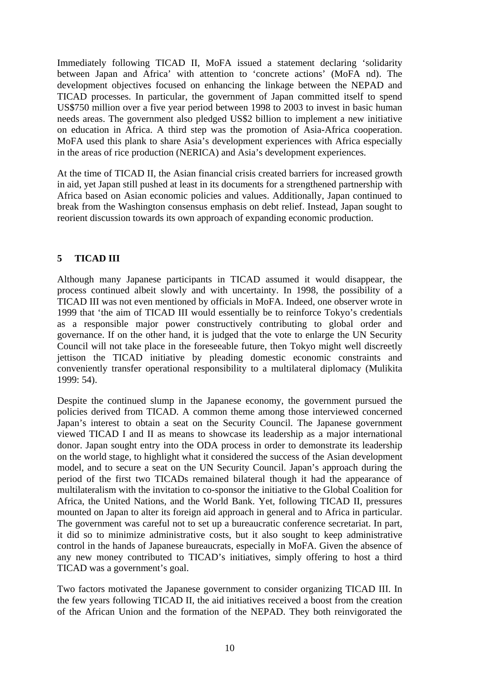Immediately following TICAD II, MoFA issued a statement declaring 'solidarity between Japan and Africa' with attention to 'concrete actions' (MoFA nd). The development objectives focused on enhancing the linkage between the NEPAD and TICAD processes. In particular, the government of Japan committed itself to spend US\$750 million over a five year period between 1998 to 2003 to invest in basic human needs areas. The government also pledged US\$2 billion to implement a new initiative on education in Africa. A third step was the promotion of Asia-Africa cooperation. MoFA used this plank to share Asia's development experiences with Africa especially in the areas of rice production (NERICA) and Asia's development experiences.

At the time of TICAD II, the Asian financial crisis created barriers for increased growth in aid, yet Japan still pushed at least in its documents for a strengthened partnership with Africa based on Asian economic policies and values. Additionally, Japan continued to break from the Washington consensus emphasis on debt relief. Instead, Japan sought to reorient discussion towards its own approach of expanding economic production.

## **5 TICAD III**

Although many Japanese participants in TICAD assumed it would disappear, the process continued albeit slowly and with uncertainty. In 1998, the possibility of a TICAD III was not even mentioned by officials in MoFA. Indeed, one observer wrote in 1999 that 'the aim of TICAD III would essentially be to reinforce Tokyo's credentials as a responsible major power constructively contributing to global order and governance. If on the other hand, it is judged that the vote to enlarge the UN Security Council will not take place in the foreseeable future, then Tokyo might well discreetly jettison the TICAD initiative by pleading domestic economic constraints and conveniently transfer operational responsibility to a multilateral diplomacy (Mulikita 1999: 54).

Despite the continued slump in the Japanese economy, the government pursued the policies derived from TICAD. A common theme among those interviewed concerned Japan's interest to obtain a seat on the Security Council. The Japanese government viewed TICAD I and II as means to showcase its leadership as a major international donor. Japan sought entry into the ODA process in order to demonstrate its leadership on the world stage, to highlight what it considered the success of the Asian development model, and to secure a seat on the UN Security Council. Japan's approach during the period of the first two TICADs remained bilateral though it had the appearance of multilateralism with the invitation to co-sponsor the initiative to the Global Coalition for Africa, the United Nations, and the World Bank. Yet, following TICAD II, pressures mounted on Japan to alter its foreign aid approach in general and to Africa in particular. The government was careful not to set up a bureaucratic conference secretariat. In part, it did so to minimize administrative costs, but it also sought to keep administrative control in the hands of Japanese bureaucrats, especially in MoFA. Given the absence of any new money contributed to TICAD's initiatives, simply offering to host a third TICAD was a government's goal.

Two factors motivated the Japanese government to consider organizing TICAD III. In the few years following TICAD II, the aid initiatives received a boost from the creation of the African Union and the formation of the NEPAD. They both reinvigorated the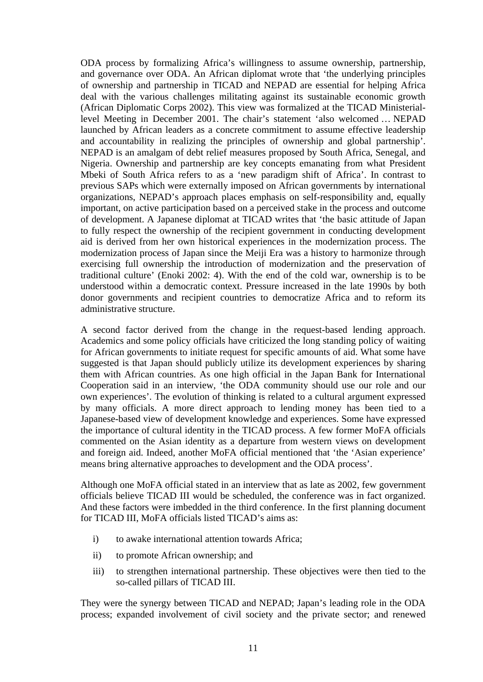ODA process by formalizing Africa's willingness to assume ownership, partnership, and governance over ODA. An African diplomat wrote that 'the underlying principles of ownership and partnership in TICAD and NEPAD are essential for helping Africa deal with the various challenges militating against its sustainable economic growth (African Diplomatic Corps 2002). This view was formalized at the TICAD Ministeriallevel Meeting in December 2001. The chair's statement 'also welcomed … NEPAD launched by African leaders as a concrete commitment to assume effective leadership and accountability in realizing the principles of ownership and global partnership'. NEPAD is an amalgam of debt relief measures proposed by South Africa, Senegal, and Nigeria. Ownership and partnership are key concepts emanating from what President Mbeki of South Africa refers to as a 'new paradigm shift of Africa'. In contrast to previous SAPs which were externally imposed on African governments by international organizations, NEPAD's approach places emphasis on self-responsibility and, equally important, on active participation based on a perceived stake in the process and outcome of development. A Japanese diplomat at TICAD writes that 'the basic attitude of Japan to fully respect the ownership of the recipient government in conducting development aid is derived from her own historical experiences in the modernization process. The modernization process of Japan since the Meiji Era was a history to harmonize through exercising full ownership the introduction of modernization and the preservation of traditional culture' (Enoki 2002: 4). With the end of the cold war, ownership is to be understood within a democratic context. Pressure increased in the late 1990s by both donor governments and recipient countries to democratize Africa and to reform its administrative structure.

A second factor derived from the change in the request-based lending approach. Academics and some policy officials have criticized the long standing policy of waiting for African governments to initiate request for specific amounts of aid. What some have suggested is that Japan should publicly utilize its development experiences by sharing them with African countries. As one high official in the Japan Bank for International Cooperation said in an interview, 'the ODA community should use our role and our own experiences'. The evolution of thinking is related to a cultural argument expressed by many officials. A more direct approach to lending money has been tied to a Japanese-based view of development knowledge and experiences. Some have expressed the importance of cultural identity in the TICAD process. A few former MoFA officials commented on the Asian identity as a departure from western views on development and foreign aid. Indeed, another MoFA official mentioned that 'the 'Asian experience' means bring alternative approaches to development and the ODA process'.

Although one MoFA official stated in an interview that as late as 2002, few government officials believe TICAD III would be scheduled, the conference was in fact organized. And these factors were imbedded in the third conference. In the first planning document for TICAD III, MoFA officials listed TICAD's aims as:

- i) to awake international attention towards Africa;
- ii) to promote African ownership; and
- iii) to strengthen international partnership. These objectives were then tied to the so-called pillars of TICAD III.

They were the synergy between TICAD and NEPAD; Japan's leading role in the ODA process; expanded involvement of civil society and the private sector; and renewed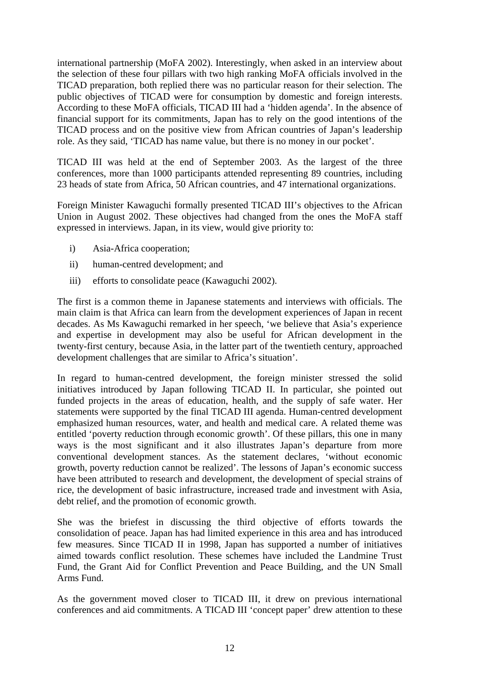international partnership (MoFA 2002). Interestingly, when asked in an interview about the selection of these four pillars with two high ranking MoFA officials involved in the TICAD preparation, both replied there was no particular reason for their selection. The public objectives of TICAD were for consumption by domestic and foreign interests. According to these MoFA officials, TICAD III had a 'hidden agenda'. In the absence of financial support for its commitments, Japan has to rely on the good intentions of the TICAD process and on the positive view from African countries of Japan's leadership role. As they said, 'TICAD has name value, but there is no money in our pocket'.

TICAD III was held at the end of September 2003. As the largest of the three conferences, more than 1000 participants attended representing 89 countries, including 23 heads of state from Africa, 50 African countries, and 47 international organizations.

Foreign Minister Kawaguchi formally presented TICAD III's objectives to the African Union in August 2002. These objectives had changed from the ones the MoFA staff expressed in interviews. Japan, in its view, would give priority to:

- i) Asia-Africa cooperation;
- ii) human-centred development; and
- iii) efforts to consolidate peace (Kawaguchi 2002).

The first is a common theme in Japanese statements and interviews with officials. The main claim is that Africa can learn from the development experiences of Japan in recent decades. As Ms Kawaguchi remarked in her speech, 'we believe that Asia's experience and expertise in development may also be useful for African development in the twenty-first century, because Asia, in the latter part of the twentieth century, approached development challenges that are similar to Africa's situation'.

In regard to human-centred development, the foreign minister stressed the solid initiatives introduced by Japan following TICAD II. In particular, she pointed out funded projects in the areas of education, health, and the supply of safe water. Her statements were supported by the final TICAD III agenda. Human-centred development emphasized human resources, water, and health and medical care. A related theme was entitled 'poverty reduction through economic growth'. Of these pillars, this one in many ways is the most significant and it also illustrates Japan's departure from more conventional development stances. As the statement declares, 'without economic growth, poverty reduction cannot be realized'. The lessons of Japan's economic success have been attributed to research and development, the development of special strains of rice, the development of basic infrastructure, increased trade and investment with Asia, debt relief, and the promotion of economic growth.

She was the briefest in discussing the third objective of efforts towards the consolidation of peace. Japan has had limited experience in this area and has introduced few measures. Since TICAD II in 1998, Japan has supported a number of initiatives aimed towards conflict resolution. These schemes have included the Landmine Trust Fund, the Grant Aid for Conflict Prevention and Peace Building, and the UN Small Arms Fund.

As the government moved closer to TICAD III, it drew on previous international conferences and aid commitments. A TICAD III 'concept paper' drew attention to these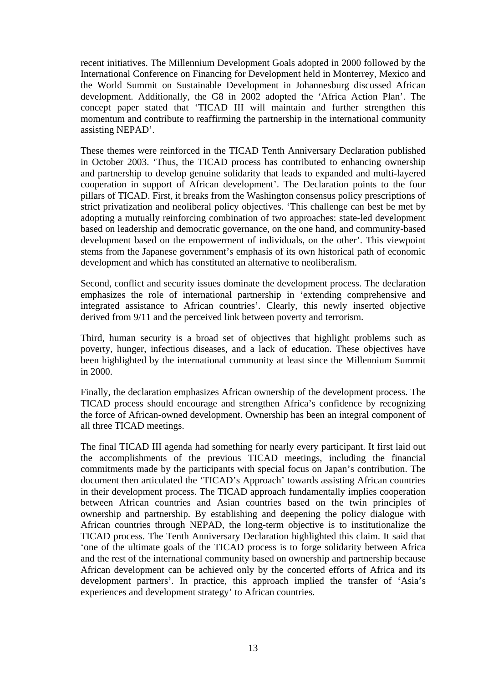recent initiatives. The Millennium Development Goals adopted in 2000 followed by the International Conference on Financing for Development held in Monterrey, Mexico and the World Summit on Sustainable Development in Johannesburg discussed African development. Additionally, the G8 in 2002 adopted the 'Africa Action Plan'. The concept paper stated that 'TICAD III will maintain and further strengthen this momentum and contribute to reaffirming the partnership in the international community assisting NEPAD'.

These themes were reinforced in the TICAD Tenth Anniversary Declaration published in October 2003. 'Thus, the TICAD process has contributed to enhancing ownership and partnership to develop genuine solidarity that leads to expanded and multi-layered cooperation in support of African development'. The Declaration points to the four pillars of TICAD. First, it breaks from the Washington consensus policy prescriptions of strict privatization and neoliberal policy objectives. 'This challenge can best be met by adopting a mutually reinforcing combination of two approaches: state-led development based on leadership and democratic governance, on the one hand, and community-based development based on the empowerment of individuals, on the other'. This viewpoint stems from the Japanese government's emphasis of its own historical path of economic development and which has constituted an alternative to neoliberalism.

Second, conflict and security issues dominate the development process. The declaration emphasizes the role of international partnership in 'extending comprehensive and integrated assistance to African countries'. Clearly, this newly inserted objective derived from 9/11 and the perceived link between poverty and terrorism.

Third, human security is a broad set of objectives that highlight problems such as poverty, hunger, infectious diseases, and a lack of education. These objectives have been highlighted by the international community at least since the Millennium Summit in 2000.

Finally, the declaration emphasizes African ownership of the development process. The TICAD process should encourage and strengthen Africa's confidence by recognizing the force of African-owned development. Ownership has been an integral component of all three TICAD meetings.

The final TICAD III agenda had something for nearly every participant. It first laid out the accomplishments of the previous TICAD meetings, including the financial commitments made by the participants with special focus on Japan's contribution. The document then articulated the 'TICAD's Approach' towards assisting African countries in their development process. The TICAD approach fundamentally implies cooperation between African countries and Asian countries based on the twin principles of ownership and partnership. By establishing and deepening the policy dialogue with African countries through NEPAD, the long-term objective is to institutionalize the TICAD process. The Tenth Anniversary Declaration highlighted this claim. It said that 'one of the ultimate goals of the TICAD process is to forge solidarity between Africa and the rest of the international community based on ownership and partnership because African development can be achieved only by the concerted efforts of Africa and its development partners'. In practice, this approach implied the transfer of 'Asia's experiences and development strategy' to African countries.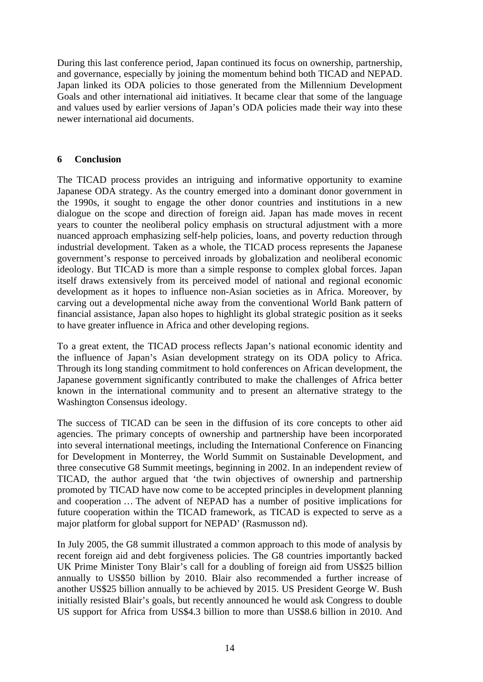During this last conference period, Japan continued its focus on ownership, partnership, and governance, especially by joining the momentum behind both TICAD and NEPAD. Japan linked its ODA policies to those generated from the Millennium Development Goals and other international aid initiatives. It became clear that some of the language and values used by earlier versions of Japan's ODA policies made their way into these newer international aid documents.

## **6 Conclusion**

The TICAD process provides an intriguing and informative opportunity to examine Japanese ODA strategy. As the country emerged into a dominant donor government in the 1990s, it sought to engage the other donor countries and institutions in a new dialogue on the scope and direction of foreign aid. Japan has made moves in recent years to counter the neoliberal policy emphasis on structural adjustment with a more nuanced approach emphasizing self-help policies, loans, and poverty reduction through industrial development. Taken as a whole, the TICAD process represents the Japanese government's response to perceived inroads by globalization and neoliberal economic ideology. But TICAD is more than a simple response to complex global forces. Japan itself draws extensively from its perceived model of national and regional economic development as it hopes to influence non-Asian societies as in Africa. Moreover, by carving out a developmental niche away from the conventional World Bank pattern of financial assistance, Japan also hopes to highlight its global strategic position as it seeks to have greater influence in Africa and other developing regions.

To a great extent, the TICAD process reflects Japan's national economic identity and the influence of Japan's Asian development strategy on its ODA policy to Africa. Through its long standing commitment to hold conferences on African development, the Japanese government significantly contributed to make the challenges of Africa better known in the international community and to present an alternative strategy to the Washington Consensus ideology.

The success of TICAD can be seen in the diffusion of its core concepts to other aid agencies. The primary concepts of ownership and partnership have been incorporated into several international meetings, including the International Conference on Financing for Development in Monterrey, the World Summit on Sustainable Development, and three consecutive G8 Summit meetings, beginning in 2002. In an independent review of TICAD, the author argued that 'the twin objectives of ownership and partnership promoted by TICAD have now come to be accepted principles in development planning and cooperation … The advent of NEPAD has a number of positive implications for future cooperation within the TICAD framework, as TICAD is expected to serve as a major platform for global support for NEPAD' (Rasmusson nd).

In July 2005, the G8 summit illustrated a common approach to this mode of analysis by recent foreign aid and debt forgiveness policies. The G8 countries importantly backed UK Prime Minister Tony Blair's call for a doubling of foreign aid from US\$25 billion annually to US\$50 billion by 2010. Blair also recommended a further increase of another US\$25 billion annually to be achieved by 2015. US President George W. Bush initially resisted Blair's goals, but recently announced he would ask Congress to double US support for Africa from US\$4.3 billion to more than US\$8.6 billion in 2010. And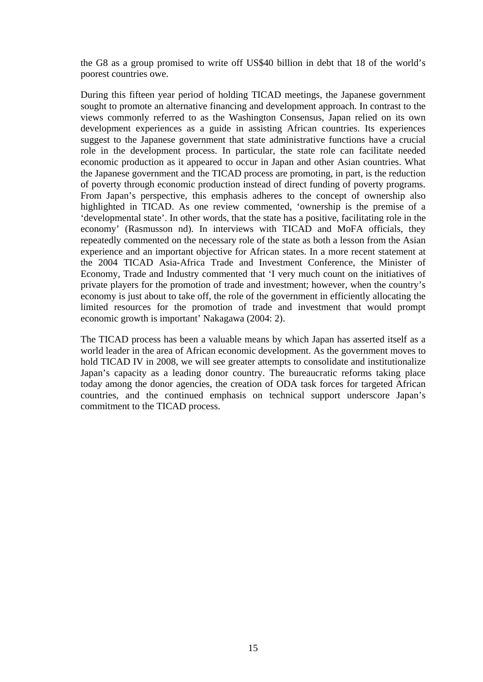the G8 as a group promised to write off US\$40 billion in debt that 18 of the world's poorest countries owe.

During this fifteen year period of holding TICAD meetings, the Japanese government sought to promote an alternative financing and development approach. In contrast to the views commonly referred to as the Washington Consensus, Japan relied on its own development experiences as a guide in assisting African countries. Its experiences suggest to the Japanese government that state administrative functions have a crucial role in the development process. In particular, the state role can facilitate needed economic production as it appeared to occur in Japan and other Asian countries. What the Japanese government and the TICAD process are promoting, in part, is the reduction of poverty through economic production instead of direct funding of poverty programs. From Japan's perspective, this emphasis adheres to the concept of ownership also highlighted in TICAD. As one review commented, 'ownership is the premise of a 'developmental state'. In other words, that the state has a positive, facilitating role in the economy' (Rasmusson nd). In interviews with TICAD and MoFA officials, they repeatedly commented on the necessary role of the state as both a lesson from the Asian experience and an important objective for African states. In a more recent statement at the 2004 TICAD Asia-Africa Trade and Investment Conference, the Minister of Economy, Trade and Industry commented that 'I very much count on the initiatives of private players for the promotion of trade and investment; however, when the country's economy is just about to take off, the role of the government in efficiently allocating the limited resources for the promotion of trade and investment that would prompt economic growth is important' Nakagawa (2004: 2).

The TICAD process has been a valuable means by which Japan has asserted itself as a world leader in the area of African economic development. As the government moves to hold TICAD IV in 2008, we will see greater attempts to consolidate and institutionalize Japan's capacity as a leading donor country. The bureaucratic reforms taking place today among the donor agencies, the creation of ODA task forces for targeted African countries, and the continued emphasis on technical support underscore Japan's commitment to the TICAD process.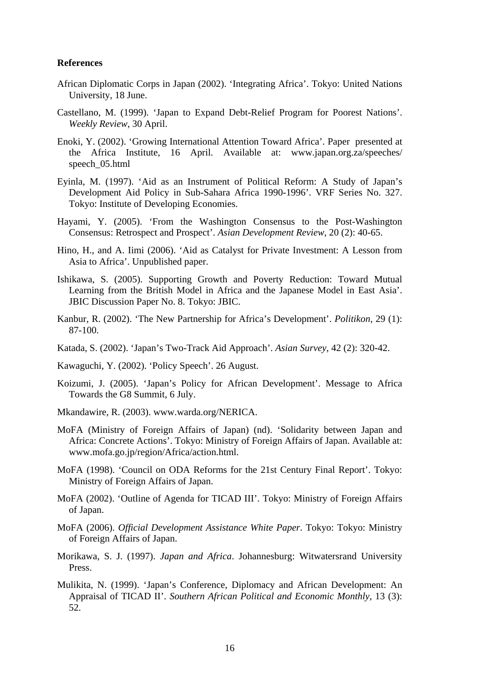#### **References**

- African Diplomatic Corps in Japan (2002). 'Integrating Africa'. Tokyo: United Nations University, 18 June.
- Castellano, M. (1999). 'Japan to Expand Debt-Relief Program for Poorest Nations'. *Weekly Review*, 30 April.
- Enoki, Y. (2002). 'Growing International Attention Toward Africa'. Paper presented at the Africa Institute, 16 April. Available at: www.japan.org.za/speeches/ speech\_05.html
- Eyinla, M. (1997). 'Aid as an Instrument of Political Reform: A Study of Japan's Development Aid Policy in Sub-Sahara Africa 1990-1996'. VRF Series No. 327. Tokyo: Institute of Developing Economies.
- Hayami, Y. (2005). 'From the Washington Consensus to the Post-Washington Consensus: Retrospect and Prospect'. *Asian Development Review*, 20 (2): 40-65.
- Hino, H., and A. Iimi (2006). 'Aid as Catalyst for Private Investment: A Lesson from Asia to Africa'. Unpublished paper.
- Ishikawa, S. (2005). Supporting Growth and Poverty Reduction: Toward Mutual Learning from the British Model in Africa and the Japanese Model in East Asia'. JBIC Discussion Paper No. 8. Tokyo: JBIC.
- Kanbur, R. (2002). 'The New Partnership for Africa's Development'. *Politikon*, 29 (1): 87-100.
- Katada, S. (2002). 'Japan's Two-Track Aid Approach'. *Asian Survey*, 42 (2): 320-42.
- Kawaguchi, Y. (2002). 'Policy Speech'. 26 August.
- Koizumi, J. (2005). 'Japan's Policy for African Development'. Message to Africa Towards the G8 Summit, 6 July.
- Mkandawire, R. (2003). www.warda.org/NERICA.
- MoFA (Ministry of Foreign Affairs of Japan) (nd). 'Solidarity between Japan and Africa: Concrete Actions'. Tokyo: Ministry of Foreign Affairs of Japan. Available at: www.mofa.go.jp/region/Africa/action.html.
- MoFA (1998). 'Council on ODA Reforms for the 21st Century Final Report'. Tokyo: Ministry of Foreign Affairs of Japan.
- MoFA (2002). 'Outline of Agenda for TICAD III'. Tokyo: Ministry of Foreign Affairs of Japan.
- MoFA (2006). *Official Development Assistance White Paper*. Tokyo: Tokyo: Ministry of Foreign Affairs of Japan.
- Morikawa, S. J. (1997). *Japan and Africa*. Johannesburg: Witwatersrand University Press.
- Mulikita, N. (1999). 'Japan's Conference, Diplomacy and African Development: An Appraisal of TICAD II'. *Southern African Political and Economic Monthly*, 13 (3): 52.